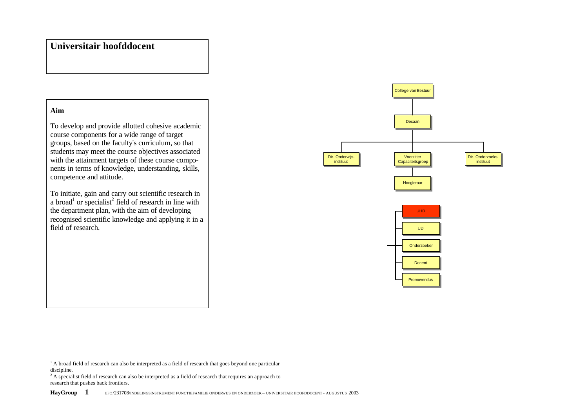# **Universitair hoofddocent**

# **Aim**

 $\overline{a}$ 

To develop and provide allotted cohesive academic course components for a wide range of target groups, based on the faculty's curriculum, so that students may meet the course objectives associated with the attainment targets of these course components in terms of knowledge, understanding, skills, competence and attitude.

To initiate, gain and carry out scientific research in a broad<sup>1</sup> or specialist<sup>2</sup> field of research in line with the department plan, with the aim of developing recognised scientific knowledge and applying it in a field of research.



<sup>&</sup>lt;sup>1</sup> A broad field of research can also be interpreted as a field of research that goes beyond one particular discipline.

<sup>&</sup>lt;sup>2</sup> A specialist field of research can also be interpreted as a field of research that requires an approach to research that pushes back frontiers.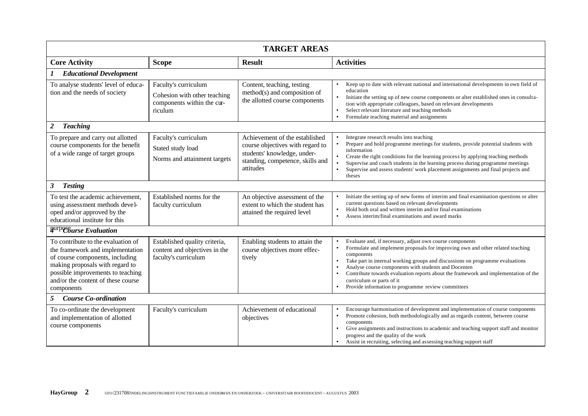| <b>TARGET AREAS</b>                                                                                                                                                                                                                   |                                                                                               |                                                                                                                                                    |                                                                                                                                                                                                                                                                                                                                                                                                                                                                                                                                              |
|---------------------------------------------------------------------------------------------------------------------------------------------------------------------------------------------------------------------------------------|-----------------------------------------------------------------------------------------------|----------------------------------------------------------------------------------------------------------------------------------------------------|----------------------------------------------------------------------------------------------------------------------------------------------------------------------------------------------------------------------------------------------------------------------------------------------------------------------------------------------------------------------------------------------------------------------------------------------------------------------------------------------------------------------------------------------|
| <b>Core Activity</b>                                                                                                                                                                                                                  | <b>Scope</b>                                                                                  | <b>Result</b>                                                                                                                                      | <b>Activities</b>                                                                                                                                                                                                                                                                                                                                                                                                                                                                                                                            |
| <b>Educational Development</b>                                                                                                                                                                                                        |                                                                                               |                                                                                                                                                    |                                                                                                                                                                                                                                                                                                                                                                                                                                                                                                                                              |
| To analyse students' level of educa-<br>tion and the needs of society                                                                                                                                                                 | Faculty's curriculum<br>Cohesion with other teaching<br>components within the cur-<br>riculum | Content, teaching, testing<br>method(s) and composition of<br>the allotted course components                                                       | Keep up to date with relevant national and international developments in own field of<br>education<br>Initiate the setting up of new course components or alter established ones in consulta-<br>$\bullet$<br>tion with appropriate colleagues, based on relevant developments<br>Select relevant literature and teaching methods<br>$\bullet$<br>Formulate teaching material and assignments<br>$\bullet$                                                                                                                                   |
| <b>Teaching</b><br>$\overline{2}$                                                                                                                                                                                                     |                                                                                               |                                                                                                                                                    |                                                                                                                                                                                                                                                                                                                                                                                                                                                                                                                                              |
| To prepare and carry out allotted<br>course components for the benefit<br>of a wide range of target groups                                                                                                                            | Faculty's curriculum<br>Stated study load<br>Norms and attainment targets                     | Achievement of the established<br>course objectives with regard to<br>students' knowledge, under-<br>standing, competence, skills and<br>attitudes | Integrate research results into teaching<br>Prepare and hold programme meetings for students, provide potential students with<br>information<br>Create the right conditions for the learning process by applying teaching methods<br>$\bullet$<br>Supervise and coach students in the learning process during programme meetings<br>Supervise and assess students' work placement assignments and final projects and<br>$\bullet$<br>theses                                                                                                  |
| 3<br><b>Testing</b>                                                                                                                                                                                                                   |                                                                                               |                                                                                                                                                    |                                                                                                                                                                                                                                                                                                                                                                                                                                                                                                                                              |
| To test the academic achievement,<br>using assessment methods devel-<br>oped and/or approved by the<br>educational institute for this                                                                                                 | Established norms for the<br>faculty curriculum                                               | An objective assessment of the<br>extent to which the student has<br>attained the required level                                                   | Initiate the setting up of new forms of interim and final examination questions or alter<br>current questions based on relevant developments<br>Hold both oral and written interim and/or final examinations<br>$\bullet$<br>Assess interim/final examinations and award marks<br>$\bullet$                                                                                                                                                                                                                                                  |
| purposturse Evaluation                                                                                                                                                                                                                |                                                                                               |                                                                                                                                                    |                                                                                                                                                                                                                                                                                                                                                                                                                                                                                                                                              |
| To contribute to the evaluation of<br>the framework and implementation<br>of course components, including<br>making proposals with regard to<br>possible improvements to teaching<br>and/or the content of these course<br>components | Established quality criteria,<br>content and objectives in the<br>faculty's curriculum        | Enabling students to attain the<br>course objectives more effec-<br>tively                                                                         | Evaluate and, if necessary, adjust own course components<br>Formulate and implement proposals for improving own and other related teaching<br>$\bullet$<br>components<br>Take part in internal working groups and discussions on programme evaluations<br>$\bullet$<br>Analyse course components with students and Docenten<br>$\bullet$<br>Contribute towards evaluation reports about the framework and implementation of the<br>$\bullet$<br>curriculum or parts of it<br>Provide information to programme review committees<br>$\bullet$ |
| <b>Course Co-ordination</b><br>5                                                                                                                                                                                                      |                                                                                               |                                                                                                                                                    |                                                                                                                                                                                                                                                                                                                                                                                                                                                                                                                                              |
| To co-ordinate the development<br>and implementation of allotted<br>course components                                                                                                                                                 | Faculty's curriculum                                                                          | Achievement of educational<br>objectives                                                                                                           | Encourage harmonisation of development and implementation of course components<br>Promote cohesion, both methodologically and as regards content, between course<br>$\bullet$<br>components<br>Give assignments and instructions to academic and teaching support staff and monitor<br>$\bullet$<br>progress and the quality of the work<br>Assist in recruiting, selecting and assessing teaching support staff<br>$\bullet$                                                                                                                |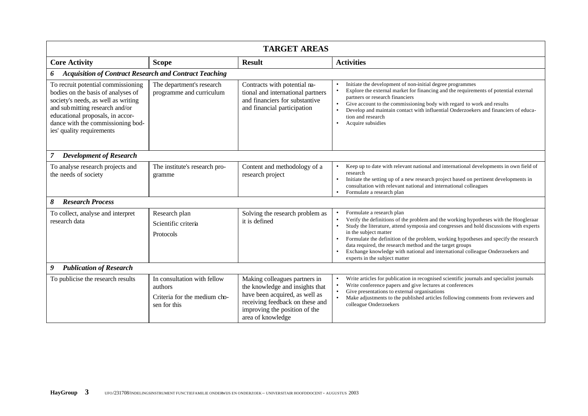| <b>TARGET AREAS</b>                                                                                                                                                                                                                                     |                                                                                        |                                                                                                                                                                                             |                                                                                                                                                                                                                                                                                                                                                                                                                                                                                                                                                                |
|---------------------------------------------------------------------------------------------------------------------------------------------------------------------------------------------------------------------------------------------------------|----------------------------------------------------------------------------------------|---------------------------------------------------------------------------------------------------------------------------------------------------------------------------------------------|----------------------------------------------------------------------------------------------------------------------------------------------------------------------------------------------------------------------------------------------------------------------------------------------------------------------------------------------------------------------------------------------------------------------------------------------------------------------------------------------------------------------------------------------------------------|
| <b>Core Activity</b>                                                                                                                                                                                                                                    | <b>Scope</b>                                                                           | <b>Result</b>                                                                                                                                                                               | <b>Activities</b>                                                                                                                                                                                                                                                                                                                                                                                                                                                                                                                                              |
| <b>Acquisition of Contract Research and Contract Teaching</b><br>6                                                                                                                                                                                      |                                                                                        |                                                                                                                                                                                             |                                                                                                                                                                                                                                                                                                                                                                                                                                                                                                                                                                |
| To recruit potential commissioning<br>bodies on the basis of analyses of<br>society's needs, as well as writing<br>and submitting research and/or<br>educational proposals, in accor-<br>dance with the commissioning bod-<br>ies' quality requirements | The department's research<br>programme and curriculum                                  | Contracts with potential ma-<br>tional and international partners<br>and financiers for substantive<br>and financial participation                                                          | Initiate the development of non-initial degree programmes<br>Explore the external market for financing and the requirements of potential external<br>$\bullet$<br>partners or research financiers<br>Give account to the commissioning body with regard to work and results<br>$\bullet$<br>Develop and maintain contact with influential Onderzoekers and financiers of educa-<br>$\bullet$<br>tion and research<br>Acquire subsidies<br>$\bullet$                                                                                                            |
| <b>Development of Research</b><br>$\mathcal{I}$                                                                                                                                                                                                         |                                                                                        |                                                                                                                                                                                             |                                                                                                                                                                                                                                                                                                                                                                                                                                                                                                                                                                |
| To analyse research projects and<br>the needs of society                                                                                                                                                                                                | The institute's research pro-<br>gramme                                                | Content and methodology of a<br>research project                                                                                                                                            | Keep up to date with relevant national and international developments in own field of<br>$\bullet$<br>research<br>Initiate the setting up of a new research project based on pertinent developments in<br>$\bullet$<br>consultation with relevant national and international colleagues<br>Formulate a research plan<br>$\bullet$                                                                                                                                                                                                                              |
| <b>Research Process</b><br>8                                                                                                                                                                                                                            |                                                                                        |                                                                                                                                                                                             |                                                                                                                                                                                                                                                                                                                                                                                                                                                                                                                                                                |
| To collect, analyse and interpret<br>research data                                                                                                                                                                                                      | Research plan<br>Scientific criteria<br>Protocols                                      | Solving the research problem as<br>it is defined                                                                                                                                            | Formulate a research plan<br>Verify the definitions of the problem and the working hypotheses with the Hoogleraar<br>$\bullet$<br>Study the literature, attend symposia and congresses and hold discussions with experts<br>$\bullet$<br>in the subject matter<br>Formulate the definition of the problem, working hypotheses and specify the research<br>$\bullet$<br>data required, the research method and the target groups<br>Exchange knowledge with national and international colleague Onderzoekers and<br>$\bullet$<br>experts in the subject matter |
| 9<br><b>Publication of Research</b>                                                                                                                                                                                                                     |                                                                                        |                                                                                                                                                                                             |                                                                                                                                                                                                                                                                                                                                                                                                                                                                                                                                                                |
| To publicise the research results                                                                                                                                                                                                                       | In consultation with fellow<br>authors<br>Criteria for the medium cho-<br>sen for this | Making colleagues partners in<br>the knowledge and insights that<br>have been acquired, as well as<br>receiving feedback on these and<br>improving the position of the<br>area of knowledge | Write articles for publication in recognised scientific journals and specialist journals<br>$\bullet$<br>Write conference papers and give lectures at conferences<br>Give presentations to external organisations<br>$\bullet$<br>Make adjustments to the published articles following comments from reviewers and<br>$\bullet$<br>colleague Onderzoekers                                                                                                                                                                                                      |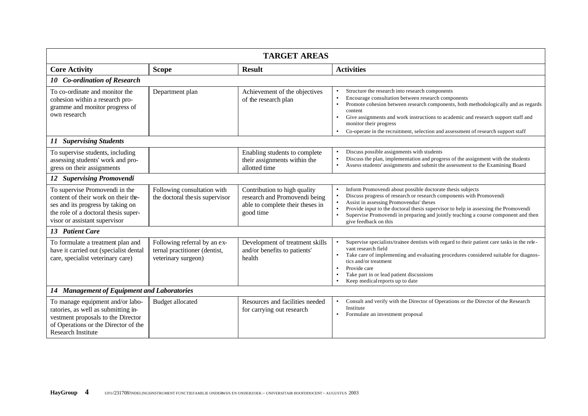| <b>TARGET AREAS</b>                                                                                                                                                                 |                                                                                      |                                                                                                                |                                                                                                                                                                                                                                                                                                                                                                                                                                                   |
|-------------------------------------------------------------------------------------------------------------------------------------------------------------------------------------|--------------------------------------------------------------------------------------|----------------------------------------------------------------------------------------------------------------|---------------------------------------------------------------------------------------------------------------------------------------------------------------------------------------------------------------------------------------------------------------------------------------------------------------------------------------------------------------------------------------------------------------------------------------------------|
| <b>Core Activity</b>                                                                                                                                                                | <b>Scope</b>                                                                         | <b>Result</b>                                                                                                  | <b>Activities</b>                                                                                                                                                                                                                                                                                                                                                                                                                                 |
| 10 Co-ordination of Research                                                                                                                                                        |                                                                                      |                                                                                                                |                                                                                                                                                                                                                                                                                                                                                                                                                                                   |
| To co-ordinate and monitor the<br>cohesion within a research pro-<br>gramme and monitor progress of<br>own research                                                                 | Department plan                                                                      | Achievement of the objectives<br>of the research plan                                                          | Structure the research into research components<br>Encourage consultation between research components<br>Promote cohesion between research components, both methodologically and as regards<br>$\bullet$<br>content<br>Give assignments and work instructions to academic and research support staff and<br>$\bullet$<br>monitor their progress<br>Co-operate in the recruitment, selection and assessment of research support staff<br>$\bullet$ |
| <b>Supervising Students</b><br>11                                                                                                                                                   |                                                                                      |                                                                                                                |                                                                                                                                                                                                                                                                                                                                                                                                                                                   |
| To supervise students, including<br>assessing students' work and pro-<br>gress on their assignments                                                                                 |                                                                                      | Enabling students to complete<br>their assignments within the<br>allotted time                                 | Discuss possible assignments with students<br>Discuss the plan, implementation and progress of the assignment with the students<br>$\bullet$<br>Assess students' assignments and submit the assessment to the Examining Board<br>$\bullet$                                                                                                                                                                                                        |
| 12 Supervising Promovendi                                                                                                                                                           |                                                                                      |                                                                                                                |                                                                                                                                                                                                                                                                                                                                                                                                                                                   |
| To supervise Promovendi in the<br>content of their work on their the-<br>ses and its progress by taking on<br>the role of a doctoral thesis super-<br>visor or assistant supervisor | Following consultation with<br>the doctoral the sis supervisor                       | Contribution to high quality<br>research and Promovendi being<br>able to complete their theses in<br>good time | Inform Promovendi about possible doctorate thesis subjects<br>Discuss progress of research or research components with Promovendi<br>Assist in assessing Promovendus' theses<br>$\bullet$<br>Provide input to the doctoral thesis supervisor to help in assessing the Promovendi<br>Supervise Promovendi in preparing and jointly teaching a course component and then<br>give feedback on this                                                   |
| 13 Patient Care                                                                                                                                                                     |                                                                                      |                                                                                                                |                                                                                                                                                                                                                                                                                                                                                                                                                                                   |
| To formulate a treatment plan and<br>have it carried out (specialist dental<br>care, specialist veterinary care)                                                                    | Following referral by an ex-<br>ternal practitioner (dentist,<br>veterinary surgeon) | Development of treatment skills<br>and/or benefits to patients'<br>health                                      | Supervise specialists/trainee dentists with regard to their patient care tasks in the rele-<br>vant research field<br>Take care of implementing and evaluating procedures considered suitable for diagnos-<br>tics and/or treatment<br>Provide care<br>$\bullet$<br>Take part in or lead patient discussions<br>$\bullet$<br>Keep medical reports up to date                                                                                      |
| 14 Management of Equipment and Laboratories                                                                                                                                         |                                                                                      |                                                                                                                |                                                                                                                                                                                                                                                                                                                                                                                                                                                   |
| To manage equipment and/or labo-<br>ratories, as well as submitting in-<br>vestment proposals to the Director<br>of Operations or the Director of the<br><b>Research Institute</b>  | <b>Budget allocated</b>                                                              | Resources and facilities needed<br>for carrying out research                                                   | Consult and verify with the Director of Operations or the Director of the Research<br>Institute<br>Formulate an investment proposal<br>$\bullet$                                                                                                                                                                                                                                                                                                  |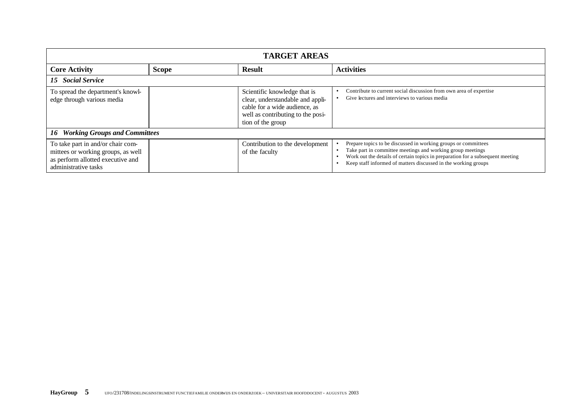| <b>TARGET AREAS</b>                                                                                                                  |              |                                                                                                                                                             |                                                                                                                                                                                                                                                                                  |
|--------------------------------------------------------------------------------------------------------------------------------------|--------------|-------------------------------------------------------------------------------------------------------------------------------------------------------------|----------------------------------------------------------------------------------------------------------------------------------------------------------------------------------------------------------------------------------------------------------------------------------|
| <b>Core Activity</b>                                                                                                                 | <b>Scope</b> | <b>Result</b>                                                                                                                                               | <b>Activities</b>                                                                                                                                                                                                                                                                |
| 15 Social Service                                                                                                                    |              |                                                                                                                                                             |                                                                                                                                                                                                                                                                                  |
| To spread the department's knowl-<br>edge through various media                                                                      |              | Scientific knowledge that is<br>clear, understandable and appli-<br>cable for a wide audience, as<br>well as contributing to the posi-<br>tion of the group | Contribute to current social discussion from own area of expertise<br>Give lectures and interviews to various media                                                                                                                                                              |
| <b>Working Groups and Committees</b><br>16                                                                                           |              |                                                                                                                                                             |                                                                                                                                                                                                                                                                                  |
| To take part in and/or chair com-<br>mittees or working groups, as well<br>as perform allotted executive and<br>administrative tasks |              | Contribution to the development<br>of the faculty                                                                                                           | Prepare topics to be discussed in working groups or committees<br>Take part in committee meetings and working group meetings<br>Work out the details of certain topics in preparation for a subsequent meeting<br>Keep staff informed of matters discussed in the working groups |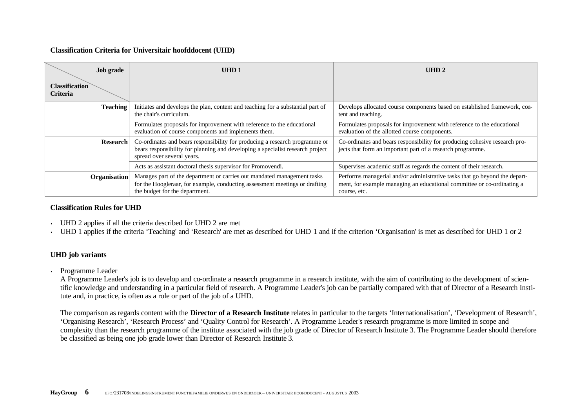## **Classification Criteria for Universitair hoofddocent (UHD)**

|                                          | <b>Job grade</b> | UHD <sub>1</sub>                                                                                                                                                                            | UHD <sub>2</sub>                                                                                                                                                     |
|------------------------------------------|------------------|---------------------------------------------------------------------------------------------------------------------------------------------------------------------------------------------|----------------------------------------------------------------------------------------------------------------------------------------------------------------------|
| <b>Classification</b><br><b>Criteria</b> |                  |                                                                                                                                                                                             |                                                                                                                                                                      |
|                                          | <b>Teaching</b>  | Initiates and develops the plan, content and teaching for a substantial part of<br>the chair's curriculum.                                                                                  | Develops allocated course components based on established framework, con-<br>tent and teaching.                                                                      |
|                                          |                  | Formulates proposals for improvement with reference to the educational<br>evaluation of course components and implements them.                                                              | Formulates proposals for improvement with reference to the educational<br>evaluation of the allotted course components.                                              |
|                                          | <b>Research</b>  | Co-ordinates and bears responsibility for producing a research programme or<br>bears responsibility for planning and developing a specialist research project<br>spread over several years. | Co-ordinates and bears responsibility for producing cohesive research pro-<br>jects that form an important part of a research programme.                             |
|                                          |                  | Acts as assistant doctoral thesis supervisor for Promovendi.                                                                                                                                | Supervises academic staff as regards the content of their research.                                                                                                  |
|                                          | Organisation     | Manages part of the department or carries out mandated management tasks<br>for the Hoogleraar, for example, conducting assessment meetings or drafting<br>the budget for the department.    | Performs managerial and/or administrative tasks that go beyond the depart-<br>ment, for example managing an educational committee or co-ordinating a<br>course, etc. |

#### **Classification Rules for UHD**

- UHD 2 applies if all the criteria described for UHD 2 are met
- UHD 1 applies if the criteria 'Teaching' and 'Research' are met as described for UHD 1 and if the criterion 'Organisation' is met as described for UHD 1 or 2

# **UHD job variants**

• Programme Leader

A Programme Leader's job is to develop and co-ordinate a research programme in a research institute, with the aim of contributing to the development of scientific knowledge and understanding in a particular field of research. A Programme Leader's job can be partially compared with that of Director of a Research Institute and, in practice, is often as a role or part of the job of a UHD.

The comparison as regards content with the **Director of a Research Institute** relates in particular to the targets 'Internationalisation', 'Development of Research', 'Organising Research', 'Research Process' and 'Quality Control for Research'. A Programme Leader's research programme is more limited in scope and complexity than the research programme of the institute associated with the job grade of Director of Research Institute 3. The Programme Leader should therefore be classified as being one job grade lower than Director of Research Institute 3.